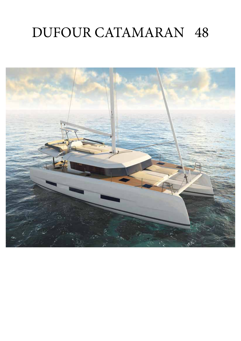# DUFOUR CATAMARAN 48

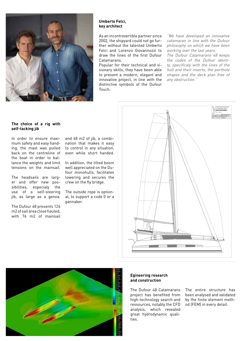

### **Umberto Felci, key architect**

As an incontrovertible partner since 2002, the shipyard could not go further without the talented Umberto Felci and Lorenzo Giovannozzi to draw the lines of the first Dufour Catamarans.

Popular for their technical and visionary skills, they have been able to present a modern, elegant and innovative project, in line with the distinctive symbols of the Dufour Touch.

"We have developed an innovative catamaran in line with the Dufour philosophy on which we have been working over the last years.

The Dufour Catamarans 48 keeps the codes of the Dufour identity, specificaly with the lines of the hull and their inserts, the porthole shapes and the deck plan free of any obstruction."

### **The choice of a rig with self-tacking jib**

In order to ensure maximum safety and easy handing, the mast was pulled back on the centreline of the boat in order to ballance the weights and limit tensions on the mainsail.

The headsails are larger and offer new possibilities, especialy the use of a self-steering jib, as large as a genoa.

The Dufour 48 presents 124 m2 of sail area close hauled, with 76 m2 of mainsail and 48 m2 of jib, a combination that makes it easy to control in any situation, even while short handed.

In addition, the tilted boom well appreciated on the Dufour monohulls, facilitates lowering and secures the crew on the fly bridge.

The outside rope is optional, to support a code 0 or a gannaker.





#### **Egineering research and construction**

The Dufour 48 Catamarans project has benefited from high-technology search and ressources, notably the CFD analysis, which revealed great hydrodynamic qualities.

The entire structure has been analysed and validated by the finite element method (FEM) in every detail.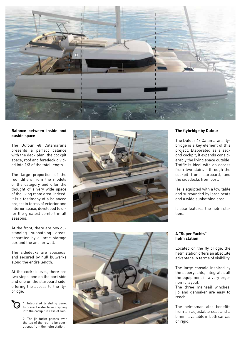

#### **Balance between inside and ouside space**

The Dufour 48 Catamarans presents a perfect balance with the deck plan, the cockpit space, roof and foredeck divid ed into 1/3 of the total length.

The large proportion of the roof differs from the models of the category and offer the thought of a very wide space of the living room area. Indeed, it is a testimony of a balanced project in terms of exterior and interior space, developed to of fer the greatest comfort in all seasons.

At the front, there are two ou standing sunbathing areas, separated by a large storage box and the anchor well.

The sidedecks are spacious, and secured by hull bulwarks along the entire length.

At the cockpit level, there are two steps, one on the port side and one on the starboard side, offering the access to the fly bridge.



1. Integrated & sliding panel to prevent water from dripping into the cockpit in case of rain.

2. The jib furler passes over the top of the roof to be oper ational from the helm station.



## **The flybridge by Dufour**

The Dufour 48 Catamarans fly bridge is a key element of this project. Elaborated as a sec ond cockpit, it expands consid erably the living space outside. Traffic is ideal with an access from two stairs - through the cockpit from starboard, and the sidedecks from port.

He is equipted with a low table and surrounded by large seats and a wide sunbathing area.

It also features the helm sta tion...



## **A "Super Yachts" helm station**

Located on the fly bridge, the helm station offers an absolute advantage in terms of visibility.

The large console inspired by the superyachts, integrates all the equipment in a very ergo nomic layout.

The three mainsail winches, jib and gennaker are easy to reach.

The helmsman also benefits from an adjustable seat and a bimini, available in both canvas or rigid.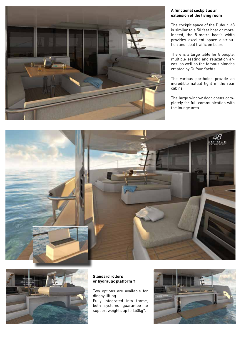

# **A functional cockpit as an extension of the living room**

The cockpit space of the Dufour 48 is similar to a 50 feet boat or more. Indeed, the 8-metre boat's width provides excellent space distribution and ideal traffic on board.

There is a large table for 8 people, multiple seating and relaxation areas, as well as the famous plancha created by Dufour Yachts.

The various portholes provide an incredible natual light in the rear cabins.

The large window door opens completely for full communication with the lounge area.





### **Standard rollers or hydraulic platform ?**

Two options are available for dinghy lifting. Fully integrated into frame, both systems guarantee to support weights up to 450kg\*.

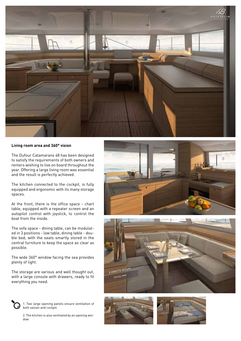

#### **Living room area and 360° vision**

The Dufour Catamarans 48 has been designed to satisfy the requirements of both owners and renters wishing to live on board throughout the year. Offering a large living room was essential and the result is perfectly achieved.

The kitchen connected to the cockpit, is fully equipped and ergonomic with its many storage spaces.

At the front, there is the office space - chart table, equipped with a repeater screen and an autopilot control with joystick, to control the boat from the inside.

The sofa space - dining table, can be modulated in 3 positions - low table, dining table - double bed, with the seats smartly stored in the central furniture to keep the space as clear as possible.

The wide 360° window facing the sea provides plenty of light.

The storage are various and well thought out, with a large console with drawers, ready to fit everything you need.



1. Two large opening panels ensure ventilation of both saloon and cockpit.

2. The kitchen is also ventilated by an opening window







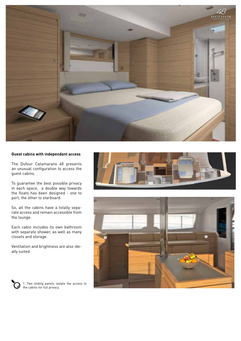

# **Guest cabins with independant access**

The Dufour Catamarans 48 presents an unusual configuration to access the guest cabins.

To guarantee the best possible privacy in each space, a double way towards the floats has been designed - one to port, the other to starboard.

So, all the cabins have a totally separate access and remain accessible from the lounge.

Each cabin includes its own bathroom with separate shower, as well as many closets and storage.

Ventilation and brightness are also ideally suited.







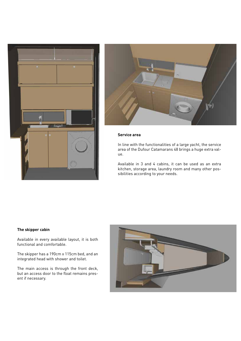



### **Service area**

In line with the functionalities of a large yacht, the service area of the Dufour Catamarans 48 brings a huge extra value.

Available in 3 and 4 cabins, it can be used as an extra kitchen, storage area, laundry room and many other possibilities according to your needs.

#### **The skipper cabin**

Available in every available layout, it is both functional and comfortable.

The skipper has a 190cm x 115cm bed, and an integrated head with shower and toilet.

The main access is through the front deck, but an access door to the float remains present if necessary.

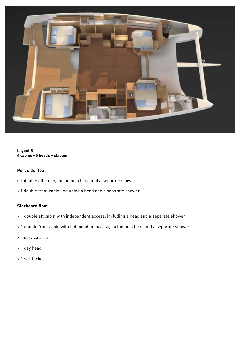

# **Layout B 4 cabins - 5 heads + skipper**

# **Port side float**

- > 1 double aft cabin, including a head and a separate shower
- > 1 double front cabin, including a head and a separate shower

# **Starboard float**

- > 1 double aft cabin with independent access, including a head and a separate shower
- > 1 double front cabin with independent access, including a head and a separate shower
- > 1 service area
- > 1 day head
- > 1 sail locker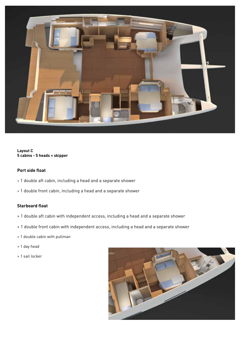

**Layout C 5 cabins - 5 heads + skipper** 

# **Port side float**

- > 1 double aft cabin, including a head and a separate shower
- > 1 double front cabin, including a head and a separate shower

# **Starboard float**

- > 1 double aft cabin with independent access, including a head and a separate shower
- > 1 double front cabin with independent access, including a head and a separate shower
- > 1 double cabin with pullman
- > 1 day head
- > 1 sail locker

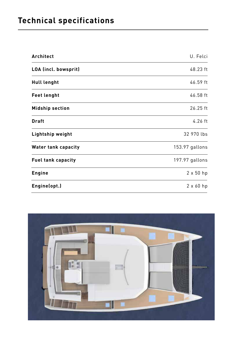# **Technical specifications**

| Architect                  | U. Felci         |
|----------------------------|------------------|
| LOA (incl. bowsprit)       | 48.23 ft         |
| <b>Hull lenght</b>         | 46.59 ft         |
| <b>Feet lenght</b>         | 46.58 ft         |
| <b>Midship section</b>     | 26.25 ft         |
| <b>Draft</b>               | $4.26$ ft        |
| <b>Lightship weight</b>    | 32 970 lbs       |
| <b>Water tank capacity</b> | 153.97 gallons   |
| <b>Fuel tank capacity</b>  | 197.97 gallons   |
| <b>Engine</b>              | $2 \times 50$ hp |
| Engine(opt.)               | $2 \times 60$ hp |

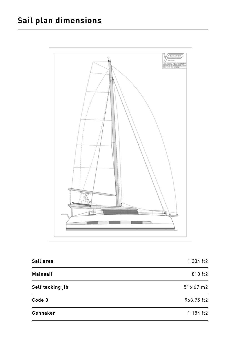# **Sail plan dimensions**



| Sail area        | 1 334 ft2  |
|------------------|------------|
| <b>Mainsail</b>  | 818 ft2    |
| Self tacking jib | 516.67 m2  |
| Code 0           | 968.75 ft2 |
| Gennaker         | 1 184 ft2  |